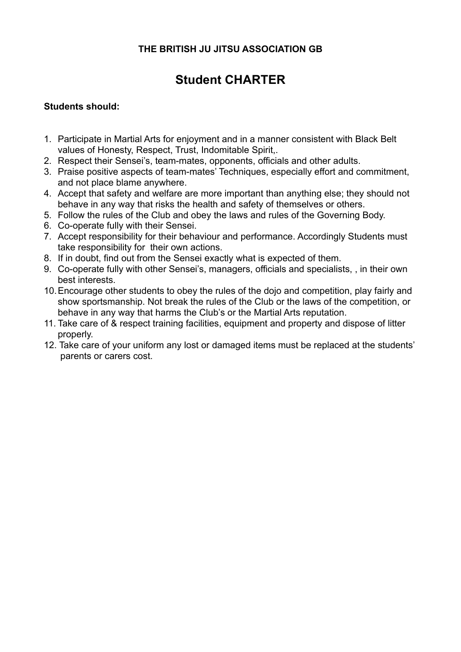## **THE BRITISH JU JITSU ASSOCIATION GB**

# **Student CHARTER**

### **Students should:**

- 1. Participate in Martial Arts for enjoyment and in a manner consistent with Black Belt values of Honesty, Respect, Trust, Indomitable Spirit,.
- 2. Respect their Sensei's, team-mates, opponents, officials and other adults.
- 3. Praise positive aspects of team-mates' Techniques, especially effort and commitment, and not place blame anywhere.
- 4. Accept that safety and welfare are more important than anything else; they should not behave in any way that risks the health and safety of themselves or others.
- 5. Follow the rules of the Club and obey the laws and rules of the Governing Body.
- 6. Co-operate fully with their Sensei.
- 7. Accept responsibility for their behaviour and performance. Accordingly Students must take responsibility for their own actions.
- 8. If in doubt, find out from the Sensei exactly what is expected of them.
- 9. Co-operate fully with other Sensei's, managers, officials and specialists, , in their own best interests.
- 10. Encourage other students to obey the rules of the dojo and competition, play fairly and show sportsmanship. Not break the rules of the Club or the laws of the competition, or behave in any way that harms the Club's or the Martial Arts reputation.
- 11. Take care of & respect training facilities, equipment and property and dispose of litter properly.
- 12. Take care of your uniform any lost or damaged items must be replaced at the students' parents or carers cost.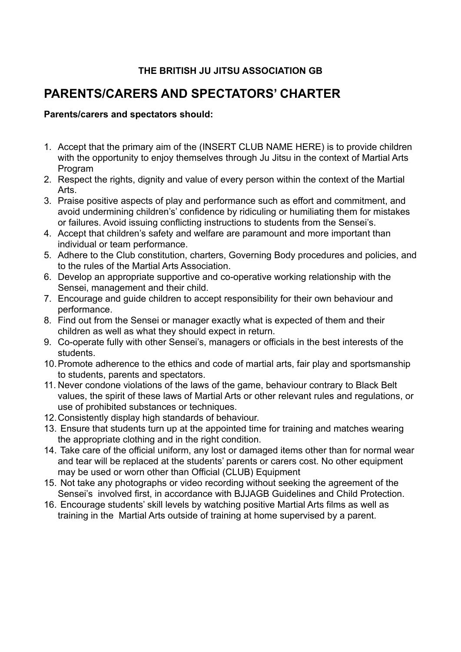## **THE BRITISH JU JITSU ASSOCIATION GB**

## **PARENTS/CARERS AND SPECTATORS' CHARTER**

#### **Parents/carers and spectators should:**

- 1. Accept that the primary aim of the (INSERT CLUB NAME HERE) is to provide children with the opportunity to enjoy themselves through Ju Jitsu in the context of Martial Arts Program
- 2. Respect the rights, dignity and value of every person within the context of the Martial Arts.
- 3. Praise positive aspects of play and performance such as effort and commitment, and avoid undermining children's' confidence by ridiculing or humiliating them for mistakes or failures. Avoid issuing conflicting instructions to students from the Sensei's.
- 4. Accept that children's safety and welfare are paramount and more important than individual or team performance.
- 5. Adhere to the Club constitution, charters, Governing Body procedures and policies, and to the rules of the Martial Arts Association.
- 6. Develop an appropriate supportive and co-operative working relationship with the Sensei, management and their child.
- 7. Encourage and guide children to accept responsibility for their own behaviour and performance.
- 8. Find out from the Sensei or manager exactly what is expected of them and their children as well as what they should expect in return.
- 9. Co-operate fully with other Sensei's, managers or officials in the best interests of the students.
- 10. Promote adherence to the ethics and code of martial arts, fair play and sportsmanship to students, parents and spectators.
- 11. Never condone violations of the laws of the game, behaviour contrary to Black Belt values, the spirit of these laws of Martial Arts or other relevant rules and regulations, or use of prohibited substances or techniques.
- 12.Consistently display high standards of behaviour.
- 13. Ensure that students turn up at the appointed time for training and matches wearing the appropriate clothing and in the right condition.
- 14. Take care of the official uniform, any lost or damaged items other than for normal wear and tear will be replaced at the students' parents or carers cost. No other equipment may be used or worn other than Official (CLUB) Equipment
- 15. Not take any photographs or video recording without seeking the agreement of the Sensei's involved first, in accordance with BJJAGB Guidelines and Child Protection.
- 16. Encourage students' skill levels by watching positive Martial Arts films as well as training in the Martial Arts outside of training at home supervised by a parent.